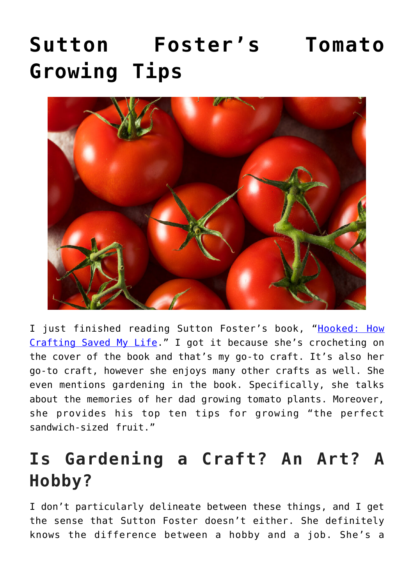# **[Sutton Foster's Tomato](https://www.frugalgardening.com/sutton-fosters-tomato-growing-tips.html) [Growing Tips](https://www.frugalgardening.com/sutton-fosters-tomato-growing-tips.html)**



I just finished reading Sutton Foster's book, "[Hooked: How](https://www.amazon.com/Hooked-How-Crafting-Saved-Life/dp/1538734281) [Crafting Saved My Life](https://www.amazon.com/Hooked-How-Crafting-Saved-Life/dp/1538734281)." I got it because she's crocheting on the cover of the book and that's my go-to craft. It's also her go-to craft, however she enjoys many other crafts as well. She even mentions gardening in the book. Specifically, she talks about the memories of her dad growing tomato plants. Moreover, she provides his top ten tips for growing "the perfect sandwich-sized fruit."

# **Is Gardening a Craft? An Art? A Hobby?**

I don't particularly delineate between these things, and I get the sense that Sutton Foster doesn't either. She definitely knows the difference between a hobby and a job. She's a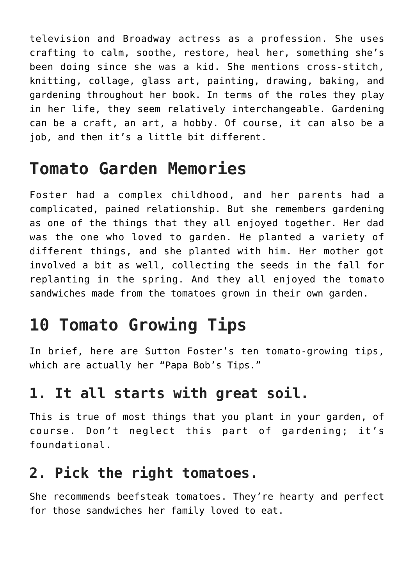television and Broadway actress as a profession. She uses crafting to calm, soothe, restore, heal her, something she's been doing since she was a kid. She mentions cross-stitch, knitting, collage, glass art, painting, drawing, baking, and gardening throughout her book. In terms of the roles they play in her life, they seem relatively interchangeable. Gardening can be a craft, an art, a hobby. Of course, it can also be a job, and then it's a little bit different.

# **Tomato Garden Memories**

Foster had a complex childhood, and her parents had a complicated, pained relationship. But she remembers gardening as one of the things that they all enjoyed together. Her dad was the one who loved to garden. He planted a variety of different things, and she planted with him. Her mother got involved a bit as well, collecting the seeds in the fall for replanting in the spring. And they all enjoyed the tomato sandwiches made from the tomatoes grown in their own garden.

# **10 Tomato Growing Tips**

In brief, here are Sutton Foster's ten tomato-growing tips, which are actually her "Papa Bob's Tips."

#### **1. It all starts with great soil.**

This is true of most things that you plant in your garden, of course. Don't neglect this part of gardening; it's foundational.

#### **2. Pick the right tomatoes.**

She recommends beefsteak tomatoes. They're hearty and perfect for those sandwiches her family loved to eat.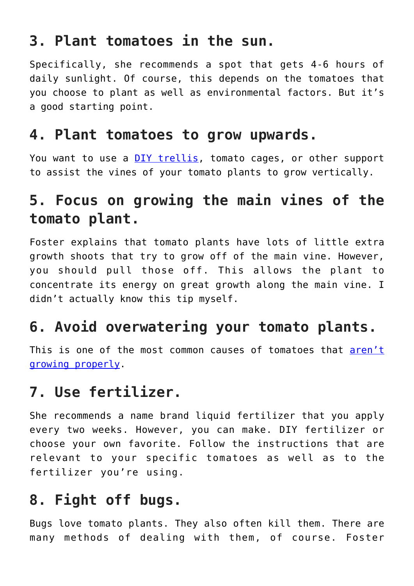## **3. Plant tomatoes in the sun.**

Specifically, she recommends a spot that gets 4-6 hours of daily sunlight. Of course, this depends on the tomatoes that you choose to plant as well as environmental factors. But it's a good starting point.

#### **4. Plant tomatoes to grow upwards.**

You want to use a [DIY trellis](https://www.frugalgardening.com/diy-squash-trellis-under-10.html), tomato cages, or other support to assist the vines of your tomato plants to grow vertically.

## **5. Focus on growing the main vines of the tomato plant.**

Foster explains that tomato plants have lots of little extra growth shoots that try to grow off of the main vine. However, you should pull those off. This allows the plant to concentrate its energy on great growth along the main vine. I didn't actually know this tip myself.

## **6. Avoid overwatering your tomato plants.**

This is one of the most common causes of tomatoes that [aren't](https://www.frugalgardening.com/6-tips-to-revive-wilted-plants.html) [growing properly.](https://www.frugalgardening.com/6-tips-to-revive-wilted-plants.html)

## **7. Use fertilizer.**

She recommends a name brand liquid fertilizer that you apply every two weeks. However, you can make. DIY fertilizer or choose your own favorite. Follow the instructions that are relevant to your specific tomatoes as well as to the fertilizer you're using.

## **8. Fight off bugs.**

Bugs love tomato plants. They also often kill them. There are many methods of dealing with them, of course. Foster